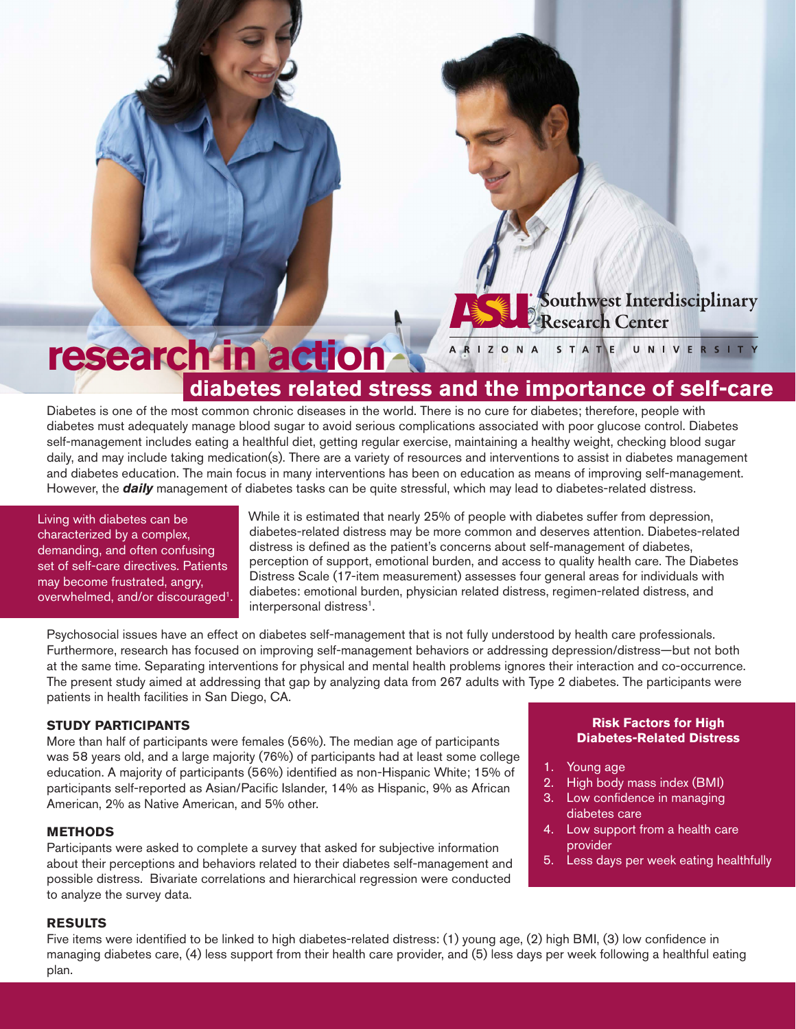# outhwest Interdisciplinary Research Center

#### research in action ARIZONA STATE UNIVERSITY **diabetes related stress and the importance of self-care**

Diabetes is one of the most common chronic diseases in the world. There is no cure for diabetes; therefore, people with diabetes must adequately manage blood sugar to avoid serious complications associated with poor glucose control. Diabetes self-management includes eating a healthful diet, getting regular exercise, maintaining a healthy weight, checking blood sugar daily, and may include taking medication(s). There are a variety of resources and interventions to assist in diabetes management and diabetes education. The main focus in many interventions has been on education as means of improving self-management. However, the *daily* management of diabetes tasks can be quite stressful, which may lead to diabetes-related distress.

Living with diabetes can be characterized by a complex, demanding, and often confusing set of self-care directives. Patients may become frustrated, angry, overwhelmed, and/or discouraged<sup>1</sup>. While it is estimated that nearly 25% of people with diabetes suffer from depression, diabetes-related distress may be more common and deserves attention. Diabetes-related distress is defined as the patient's concerns about self-management of diabetes, perception of support, emotional burden, and access to quality health care. The Diabetes Distress Scale (17-item measurement) assesses four general areas for individuals with diabetes: emotional burden, physician related distress, regimen-related distress, and interpersonal distress<sup>1</sup>.

Psychosocial issues have an effect on diabetes self-management that is not fully understood by health care professionals. Furthermore, research has focused on improving self-management behaviors or addressing depression/distress—but not both at the same time. Separating interventions for physical and mental health problems ignores their interaction and co-occurrence. The present study aimed at addressing that gap by analyzing data from 267 adults with Type 2 diabetes. The participants were patients in health facilities in San Diego, CA.

# **STUDY PARTICIPANTS**

More than half of participants were females (56%). The median age of participants was 58 years old, and a large majority (76%) of participants had at least some college education. A majority of participants (56%) identified as non-Hispanic White; 15% of participants self-reported as Asian/Pacific Islander, 14% as Hispanic, 9% as African American, 2% as Native American, and 5% other.

# **METHODS**

Participants were asked to complete a survey that asked for subjective information about their perceptions and behaviors related to their diabetes self-management and possible distress. Bivariate correlations and hierarchical regression were conducted to analyze the survey data.

# **Risk Factors for High Diabetes-Related Distress**

- 1. Young age
- 2. High body mass index (BMI)
- 3. Low confidence in managing diabetes care
- 4. Low support from a health care provider
- 5. Less days per week eating healthfully

# **RESULTS**

Five items were identified to be linked to high diabetes-related distress: (1) young age, (2) high BMI, (3) low confidence in managing diabetes care, (4) less support from their health care provider, and (5) less days per week following a healthful eating plan.